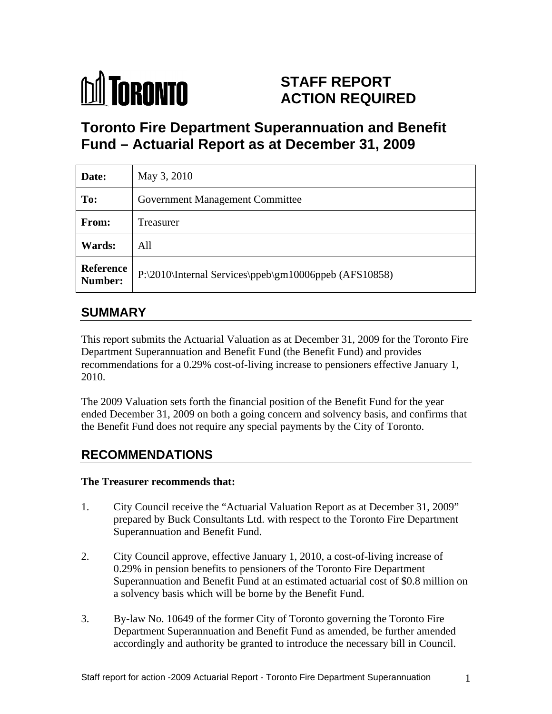

# **STAFF REPORT ACTION REQUIRED**

# **Toronto Fire Department Superannuation and Benefit Fund – Actuarial Report as at December 31, 2009**

| Date:         | May 3, 2010                                                     |
|---------------|-----------------------------------------------------------------|
| To:           | <b>Government Management Committee</b>                          |
| From:         | Treasurer                                                       |
| <b>Wards:</b> | All                                                             |
|               | Reference P:\2010\Internal Services\ppeb\gm10006ppeb (AFS10858) |

# **SUMMARY**

This report submits the Actuarial Valuation as at December 31, 2009 for the Toronto Fire Department Superannuation and Benefit Fund (the Benefit Fund) and provides recommendations for a 0.29% cost-of-living increase to pensioners effective January 1, 2010.

The 2009 Valuation sets forth the financial position of the Benefit Fund for the year ended December 31, 2009 on both a going concern and solvency basis, and confirms that the Benefit Fund does not require any special payments by the City of Toronto.

# **RECOMMENDATIONS**

## **The Treasurer recommends that:**

- 1. City Council receive the "Actuarial Valuation Report as at December 31, 2009" prepared by Buck Consultants Ltd. with respect to the Toronto Fire Department Superannuation and Benefit Fund.
- 2. City Council approve, effective January 1, 2010, a cost-of-living increase of 0.29% in pension benefits to pensioners of the Toronto Fire Department Superannuation and Benefit Fund at an estimated actuarial cost of \$0.8 million on a solvency basis which will be borne by the Benefit Fund.
- 3. By-law No. 10649 of the former City of Toronto governing the Toronto Fire Department Superannuation and Benefit Fund as amended, be further amended accordingly and authority be granted to introduce the necessary bill in Council.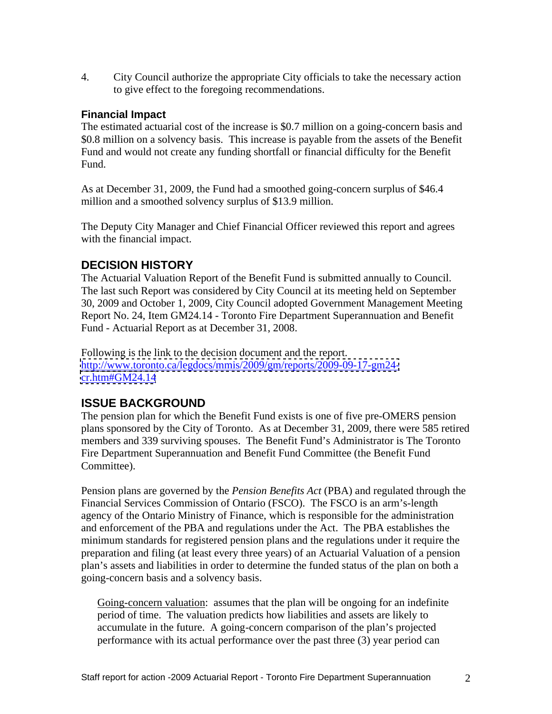4. City Council authorize the appropriate City officials to take the necessary action to give effect to the foregoing recommendations.

## **Financial Impact**

The estimated actuarial cost of the increase is \$0.7 million on a going-concern basis and \$0.8 million on a solvency basis. This increase is payable from the assets of the Benefit Fund and would not create any funding shortfall or financial difficulty for the Benefit Fund.

As at December 31, 2009, the Fund had a smoothed going-concern surplus of \$46.4 million and a smoothed solvency surplus of \$13.9 million.

The Deputy City Manager and Chief Financial Officer reviewed this report and agrees with the financial impact.

# **DECISION HISTORY**

The Actuarial Valuation Report of the Benefit Fund is submitted annually to Council. The last such Report was considered by City Council at its meeting held on September 30, 2009 and October 1, 2009, City Council adopted Government Management Meeting Report No. 24, Item GM24.14 - Toronto Fire Department Superannuation and Benefit Fund - Actuarial Report as at December 31, 2008.

Following is the link to the decision document and the report. [http://www.toronto.ca/legdocs/mmis/2009/gm/reports/2009-09-17-gm24](http://www.toronto.ca/legdocs/mmis/2009/gm/reports/2009-09-17-gm24-) <cr.htm#GM24.14>

## **ISSUE BACKGROUND**

The pension plan for which the Benefit Fund exists is one of five pre-OMERS pension plans sponsored by the City of Toronto. As at December 31, 2009, there were 585 retired members and 339 surviving spouses. The Benefit Fund's Administrator is The Toronto Fire Department Superannuation and Benefit Fund Committee (the Benefit Fund Committee).

Pension plans are governed by the *Pension Benefits Act* (PBA) and regulated through the Financial Services Commission of Ontario (FSCO). The FSCO is an arm's-length agency of the Ontario Ministry of Finance, which is responsible for the administration and enforcement of the PBA and regulations under the Act. The PBA establishes the minimum standards for registered pension plans and the regulations under it require the preparation and filing (at least every three years) of an Actuarial Valuation of a pension plan's assets and liabilities in order to determine the funded status of the plan on both a going-concern basis and a solvency basis.

Going-concern valuation: assumes that the plan will be ongoing for an indefinite period of time. The valuation predicts how liabilities and assets are likely to accumulate in the future. A going-concern comparison of the plan's projected performance with its actual performance over the past three (3) year period can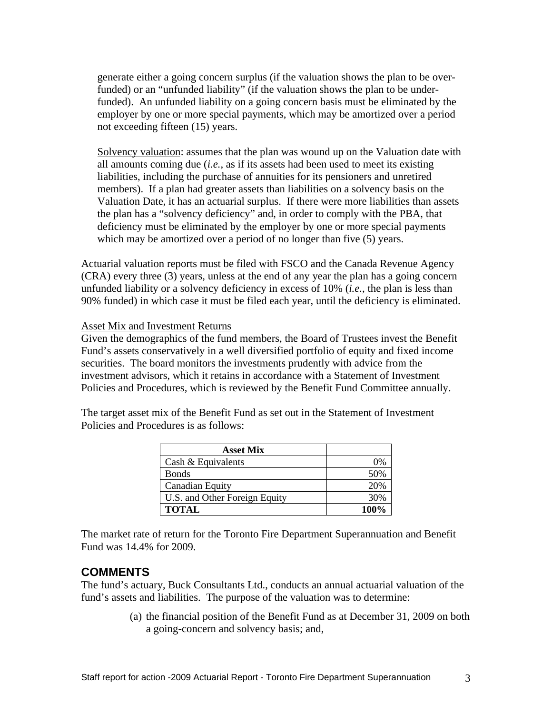generate either a going concern surplus (if the valuation shows the plan to be overfunded) or an "unfunded liability" (if the valuation shows the plan to be underfunded). An unfunded liability on a going concern basis must be eliminated by the employer by one or more special payments, which may be amortized over a period not exceeding fifteen (15) years.

Solvency valuation: assumes that the plan was wound up on the Valuation date with all amounts coming due (*i.e.*, as if its assets had been used to meet its existing liabilities, including the purchase of annuities for its pensioners and unretired members). If a plan had greater assets than liabilities on a solvency basis on the Valuation Date, it has an actuarial surplus. If there were more liabilities than assets the plan has a "solvency deficiency" and, in order to comply with the PBA, that deficiency must be eliminated by the employer by one or more special payments which may be amortized over a period of no longer than five (5) years.

Actuarial valuation reports must be filed with FSCO and the Canada Revenue Agency (CRA) every three (3) years, unless at the end of any year the plan has a going concern unfunded liability or a solvency deficiency in excess of 10% (*i.e.*, the plan is less than 90% funded) in which case it must be filed each year, until the deficiency is eliminated.

### Asset Mix and Investment Returns

Given the demographics of the fund members, the Board of Trustees invest the Benefit Fund's assets conservatively in a well diversified portfolio of equity and fixed income securities. The board monitors the investments prudently with advice from the investment advisors, which it retains in accordance with a Statement of Investment Policies and Procedures, which is reviewed by the Benefit Fund Committee annually.

The target asset mix of the Benefit Fund as set out in the Statement of Investment Policies and Procedures is as follows:

| <b>Asset Mix</b>                                  |                                                     |
|---------------------------------------------------|-----------------------------------------------------|
| Cash & Equ.                                       | $\sim$ 0%                                           |
| Bonds                                             | 50%                                                 |
| Canadian E $\epsilon$<br>$\overline{\phantom{a}}$ | -20%                                                |
| U.S. and Other Foreign Equity                     | the control of the control of the control of<br>30% |
| <b>TOTAL</b>                                      |                                                     |

The market rate of return for the Toronto Fire Department Superannuation and Benefit Fund was 14.4% for 2009.

## **COMMENTS**

The fund's actuary, Buck Consultants Ltd., conducts an annual actuarial valuation of the fund's assets and liabilities. The purpose of the valuation was to determine:

> (a) the financial position of the Benefit Fund as at December 31, 2009 on both a going-concern and solvency basis; and,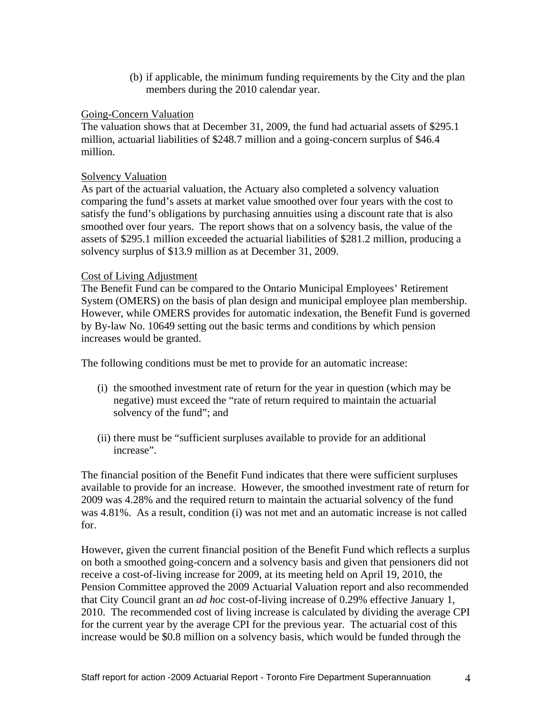(b) if applicable, the minimum funding requirements by the City and the plan members during the 2010 calendar year.

## **Going-Concern Valuation Going-Concern Valuation**

The valuation shows that at December 31, 2009, the fund had actuarial assets of \$295.1 million, actuarial liabilities of \$248.7 million and a going-concern surplus of \$46.4 million.

## Solvency Valuation Solvency Valuation

As part of the actuarial valuation, the Actuary also completed a solvency valuation comparing the fund's assets at market value smoothed over four years with the cost to satisfy the fund's obligations by purchasing annuities using a discount rate that is also smoothed over four years. The report shows that on a solvency basis, the value of the assets of \$295.1 million exceeded the actuarial liabilities of \$281.2 million, producing a solvency surplus of \$13.9 million as at December 31, 2009.<br>Cost of Living Adjustment

The Benefit Fund can be compared to the Ontario Municipal Employees' Retirement System (OMERS) on the basis of plan design and municipal employee plan membership. However, while OMERS provides for automatic indexation, the Benefit Fund is governed by By-law No. 10649 setting out the basic terms and conditions by which pension increases would be granted.

The following conditions must be met to provide for an automatic increase:

- (i) the smoothed investment rate of return for the year in question (which may be negative) must exceed the "rate of return required to maintain the actuarial solvency of the fund"; and
- (ii) there must be "sufficient surpluses available to provide for an additional increase".

The financial position of the Benefit Fund indicates that there were sufficient surpluses available to provide for an increase. However, the smoothed investment rate of return for 2009 was 4.28% and the required return to maintain the actuarial solvency of the fund was 4.81%. As a result, condition (i) was not met and an automatic increase is not called for.

However, given the current financial position of the Benefit Fund which reflects a surplus on both a smoothed going-concern and a solvency basis and given that pensioners did not receive a cost-of-living increase for 2009, at its meeting held on April 19, 2010, the Pension Committee approved the 2009 Actuarial Valuation report and also recommended that City Council grant an *ad hoc* cost-of-living increase of 0.29% effective January 1, 2010. The recommended cost of living increase is calculated by dividing the average CPI for the current year by the average CPI for the previous year. The actuarial cost of this increase would be \$0.8 million on a solvency basis, which would be funded through the